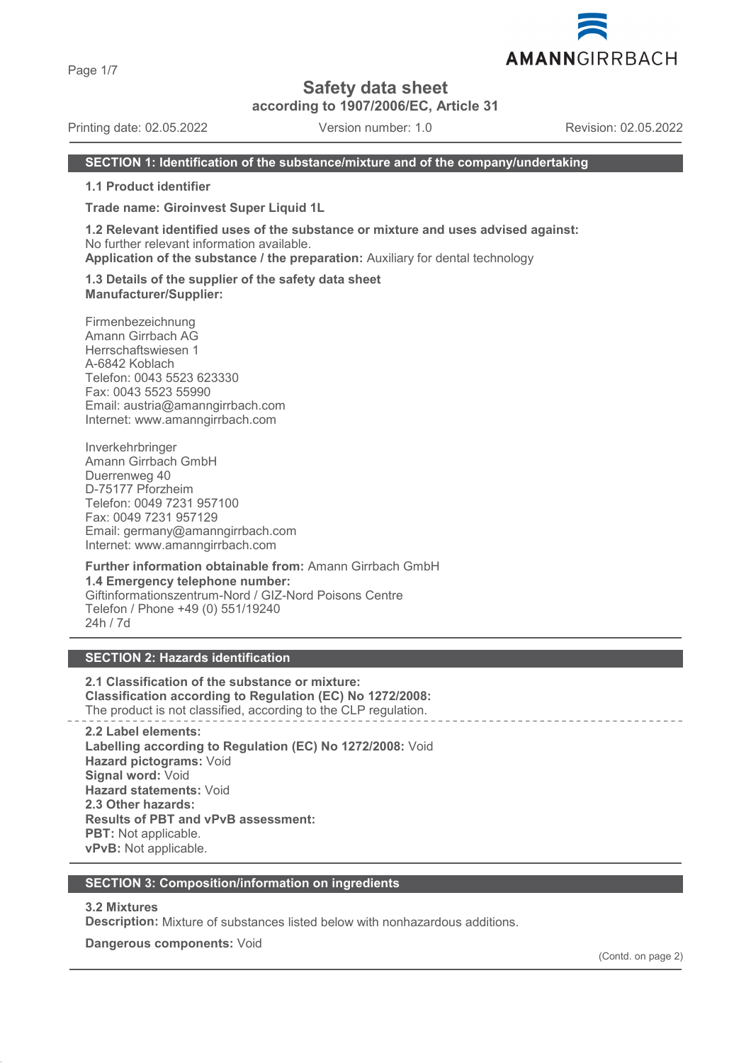Page 1/7

# **Safety data sheet**

**according to 1907/2006/EC, Article 31**

Printing date: 02.05.2022 Version number: 1.0 Revision: 02.05.2022

#### **SECTION 1: Identification of the substance/mixture and of the company/undertaking**

**1.1 Product identifier**

**Trade name: Giroinvest Super Liquid 1L**

**1.2 Relevant identified uses of the substance or mixture and uses advised against:** No further relevant information available.

**Application of the substance / the preparation:** Auxiliary for dental technology

**1.3 Details of the supplier of the safety data sheet Manufacturer/Supplier:**

Firmenbezeichnung Amann Girrbach AG Herrschaftswiesen 1 A-6842 Koblach Telefon: 0043 5523 623330 Fax: 0043 5523 55990 Email: austria@amanngirrbach.com Internet: www.amanngirrbach.com

Inverkehrbringer Amann Girrbach GmbH Duerrenweg 40 D-75177 Pforzheim Telefon: 0049 7231 957100 Fax: 0049 7231 957129 Email: germany@amanngirrbach.com Internet: www.amanngirrbach.com

**Further information obtainable from:** Amann Girrbach GmbH **1.4 Emergency telephone number:** Giftinformationszentrum-Nord / GIZ-Nord Poisons Centre Telefon / Phone +49 (0) 551/19240 24h / 7d

#### **SECTION 2: Hazards identification**

**2.1 Classification of the substance or mixture: Classification according to Regulation (EC) No 1272/2008:** The product is not classified, according to the CLP regulation.

**2.2 Label elements: Labelling according to Regulation (EC) No 1272/2008:** Void **Hazard pictograms:** Void **Signal word:** Void **Hazard statements:** Void **2.3 Other hazards: Results of PBT and vPvB assessment: PBT:** Not applicable. **vPvB:** Not applicable.

#### **SECTION 3: Composition/information on ingredients**

#### **3.2 Mixtures**

**Description:** Mixture of substances listed below with nonhazardous additions.

**Dangerous components:** Void

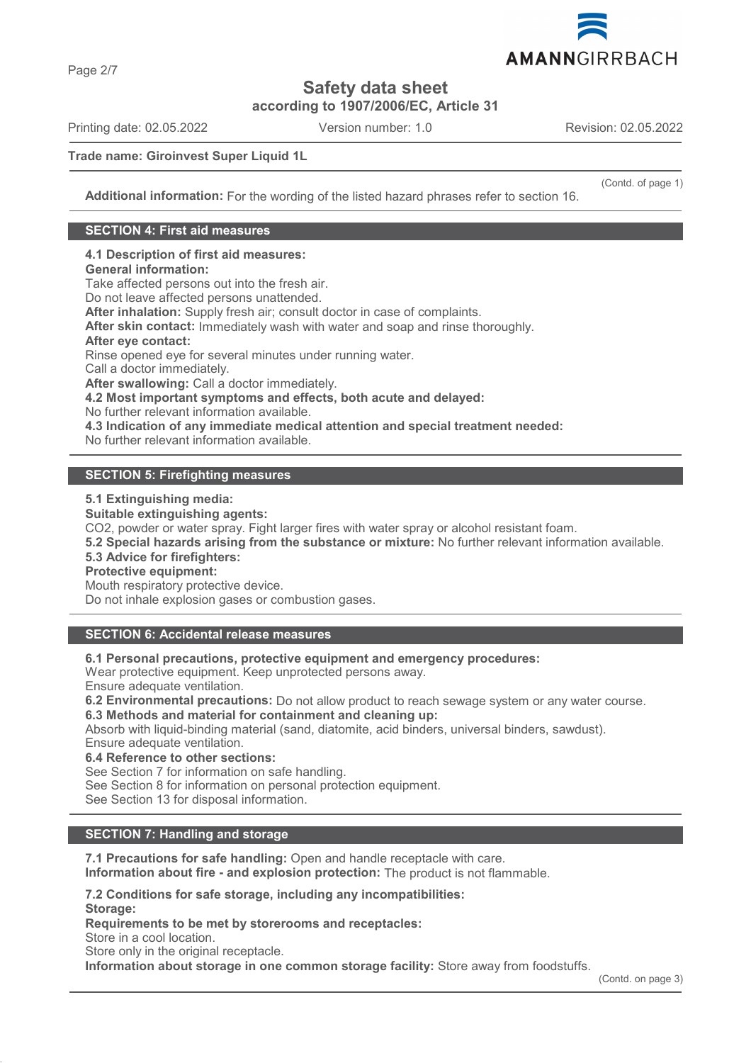

**Safety data sheet**

**according to 1907/2006/EC, Article 31**

Printing date: 02.05.2022 Version number: 1.0 Revision: 02.05.2022

(Contd. of page 1)

**Trade name: Giroinvest Super Liquid 1L**

**Additional information:** For the wording of the listed hazard phrases refer to section 16.

#### **SECTION 4: First aid measures**

**4.1 Description of first aid measures:**

**General information:**

Take affected persons out into the fresh air.

Do not leave affected persons unattended.

**After inhalation:** Supply fresh air; consult doctor in case of complaints.

**After skin contact:** Immediately wash with water and soap and rinse thoroughly.

#### **After eye contact:**

Rinse opened eye for several minutes under running water.

Call a doctor immediately.

**After swallowing:** Call a doctor immediately.

**4.2 Most important symptoms and effects, both acute and delayed:**

No further relevant information available.

**4.3 Indication of any immediate medical attention and special treatment needed:**

No further relevant information available.

#### **SECTION 5: Firefighting measures**

**5.1 Extinguishing media:**

**Suitable extinguishing agents:**

CO2, powder or water spray. Fight larger fires with water spray or alcohol resistant foam.

**5.2 Special hazards arising from the substance or mixture:** No further relevant information available.

#### **5.3 Advice for firefighters:**

**Protective equipment:**

Mouth respiratory protective device.

Do not inhale explosion gases or combustion gases.

### **SECTION 6: Accidental release measures**

**6.1 Personal precautions, protective equipment and emergency procedures:**

Wear protective equipment. Keep unprotected persons away.

Ensure adequate ventilation.

**6.2 Environmental precautions:** Do not allow product to reach sewage system or any water course. **6.3 Methods and material for containment and cleaning up:**

Absorb with liquid-binding material (sand, diatomite, acid binders, universal binders, sawdust). Ensure adequate ventilation.

**6.4 Reference to other sections:**

See Section 7 for information on safe handling.

See Section 8 for information on personal protection equipment.

See Section 13 for disposal information.

## **SECTION 7: Handling and storage**

**7.1 Precautions for safe handling:** Open and handle receptacle with care.

**Information about fire - and explosion protection:** The product is not flammable.

**7.2 Conditions for safe storage, including any incompatibilities:**

**Storage:**

**Requirements to be met by storerooms and receptacles:**

Store in a cool location.

Store only in the original receptacle.

**Information about storage in one common storage facility:** Store away from foodstuffs.

Page 2/7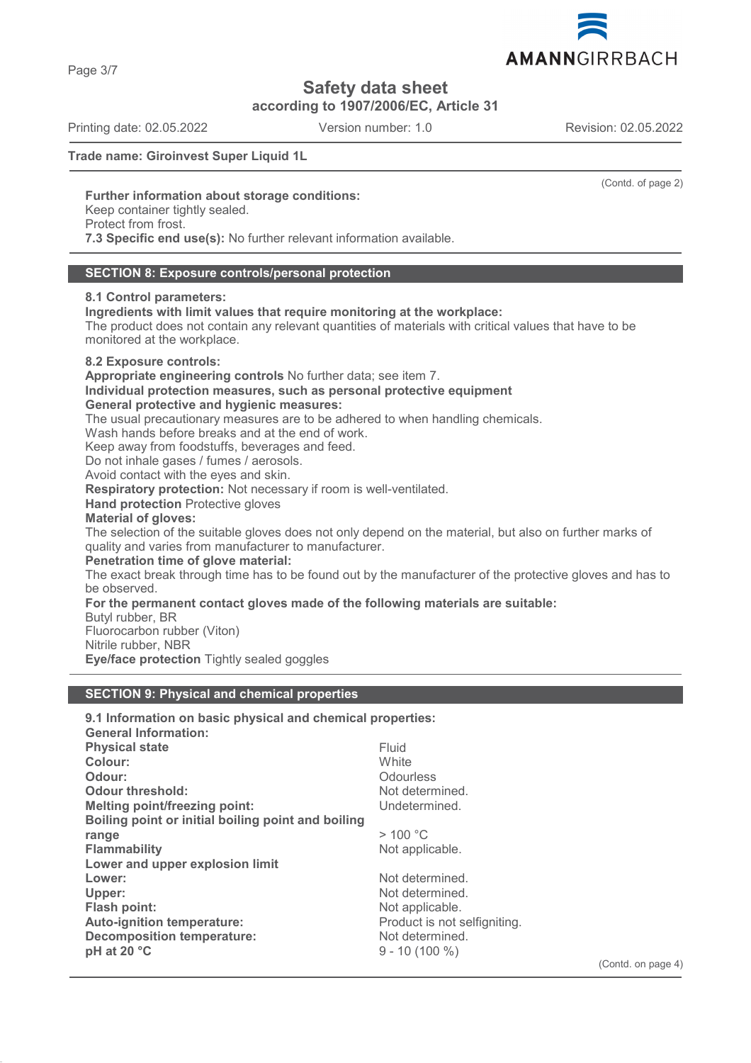AMANNGIRRBACH

# **Safety data sheet**

**according to 1907/2006/EC, Article 31**

Printing date: 02.05.2022 Version number: 1.0 Revision: 02.05.2022

Page 3/7

#### **Trade name: Giroinvest Super Liquid 1L**

(Contd. of page 2)

#### **Further information about storage conditions:**

Keep container tightly sealed.

Protect from frost.

**7.3 Specific end use(s):** No further relevant information available.

#### **SECTION 8: Exposure controls/personal protection**

#### **8.1 Control parameters:**

**Ingredients with limit values that require monitoring at the workplace:**

The product does not contain any relevant quantities of materials with critical values that have to be monitored at the workplace.

#### **8.2 Exposure controls:**

**Appropriate engineering controls** No further data; see item 7.

**Individual protection measures, such as personal protective equipment**

**General protective and hygienic measures:**

The usual precautionary measures are to be adhered to when handling chemicals.

Wash hands before breaks and at the end of work.

Keep away from foodstuffs, beverages and feed.

Do not inhale gases / fumes / aerosols.

Avoid contact with the eyes and skin.

**Respiratory protection:** Not necessary if room is well-ventilated.

**Hand protection** Protective gloves

### **Material of gloves:**

The selection of the suitable gloves does not only depend on the material, but also on further marks of quality and varies from manufacturer to manufacturer.

#### **Penetration time of glove material:**

The exact break through time has to be found out by the manufacturer of the protective gloves and has to be observed.

### **For the permanent contact gloves made of the following materials are suitable:**

Butyl rubber, BR

Fluorocarbon rubber (Viton)

Nitrile rubber, NBR

**Eve/face protection** Tightly sealed goggles

### **SECTION 9: Physical and chemical properties**

| 9.1 Information on basic physical and chemical properties:<br><b>General Information:</b> |                              |
|-------------------------------------------------------------------------------------------|------------------------------|
| <b>Physical state</b>                                                                     | Fluid                        |
| Colour:                                                                                   | White                        |
| Odour:                                                                                    | Odourless                    |
| <b>Odour threshold:</b>                                                                   | Not determined.              |
| <b>Melting point/freezing point:</b>                                                      | Undetermined.                |
| Boiling point or initial boiling point and boiling                                        |                              |
| range                                                                                     | >100 °C                      |
| <b>Flammability</b>                                                                       | Not applicable.              |
| Lower and upper explosion limit                                                           |                              |
| Lower:                                                                                    | Not determined.              |
| Upper:                                                                                    | Not determined.              |
| Flash point:                                                                              | Not applicable.              |
| <b>Auto-ignition temperature:</b>                                                         | Product is not selfigniting. |
| <b>Decomposition temperature:</b>                                                         | Not determined.              |
| pH at 20 °C                                                                               | $9 - 10(100\%)$              |
|                                                                                           |                              |

(Contd. on page 4)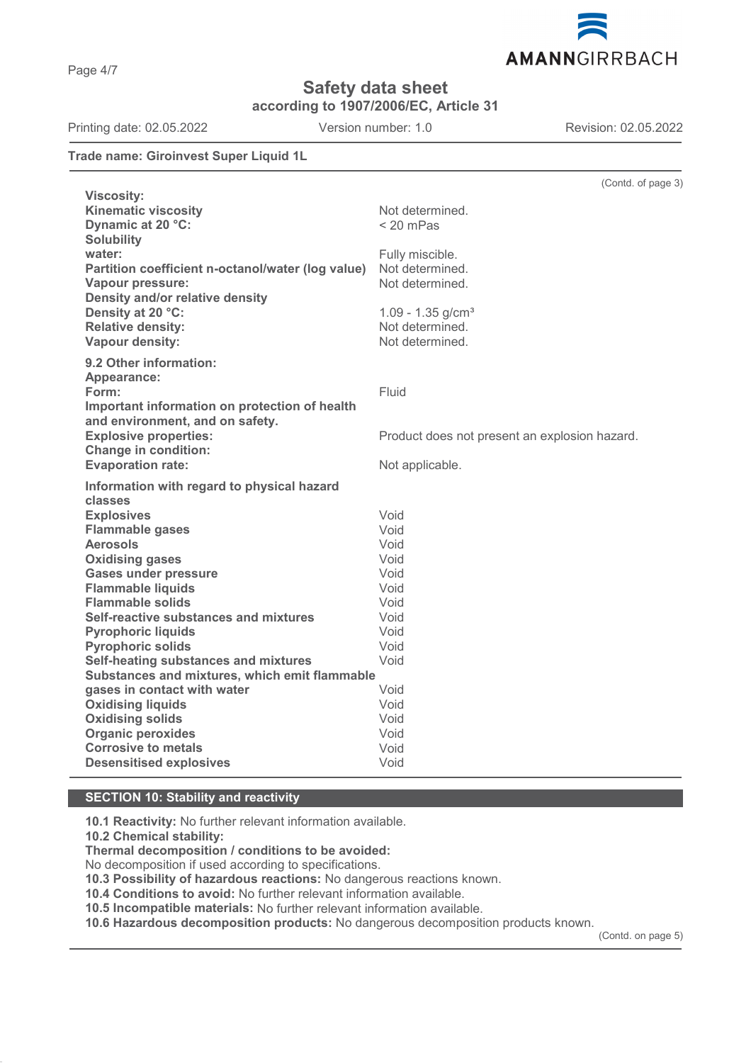

# **Safety data sheet**

**according to 1907/2006/EC, Article 31**

Printing date: 02.05.2022 Version number: 1.0 Revision: 02.05.2022

AMANNGIRRBACH

#### **Trade name: Giroinvest Super Liquid 1L**

|                                                   | (Contd. of page 3)                            |
|---------------------------------------------------|-----------------------------------------------|
| <b>Viscosity:</b>                                 |                                               |
| <b>Kinematic viscosity</b>                        | Not determined.                               |
| Dynamic at 20 °C:                                 | < 20 mPas                                     |
| <b>Solubility</b>                                 |                                               |
| water:                                            | Fully miscible.                               |
| Partition coefficient n-octanol/water (log value) | Not determined.                               |
| Vapour pressure:                                  | Not determined.                               |
| Density and/or relative density                   |                                               |
| Density at 20 °C:                                 | $1.09 - 1.35$ g/cm <sup>3</sup>               |
| <b>Relative density:</b>                          | Not determined.                               |
| Vapour density:                                   | Not determined.                               |
| 9.2 Other information:                            |                                               |
| Appearance:                                       |                                               |
| Form:                                             | Fluid                                         |
| Important information on protection of health     |                                               |
| and environment, and on safety.                   |                                               |
| <b>Explosive properties:</b>                      | Product does not present an explosion hazard. |
| <b>Change in condition:</b>                       |                                               |
| <b>Evaporation rate:</b>                          | Not applicable.                               |
| Information with regard to physical hazard        |                                               |
| classes                                           |                                               |
| <b>Explosives</b>                                 | Void                                          |
| <b>Flammable gases</b>                            | Void                                          |
| <b>Aerosols</b>                                   | Void                                          |
| <b>Oxidising gases</b>                            | Void                                          |
| <b>Gases under pressure</b>                       | Void                                          |
| <b>Flammable liquids</b>                          | Void                                          |
| <b>Flammable solids</b>                           | Void                                          |
| Self-reactive substances and mixtures             | Void                                          |
| <b>Pyrophoric liquids</b>                         | Void                                          |
| <b>Pyrophoric solids</b>                          | Void                                          |
| Self-heating substances and mixtures              | Void                                          |
| Substances and mixtures, which emit flammable     |                                               |
| gases in contact with water                       | Void                                          |
| <b>Oxidising liquids</b>                          | Void                                          |
| <b>Oxidising solids</b>                           | Void                                          |
| <b>Organic peroxides</b>                          | Void                                          |
| <b>Corrosive to metals</b>                        | Void                                          |
| <b>Desensitised explosives</b>                    | Void                                          |
|                                                   |                                               |

#### **SECTION 10: Stability and reactivity**

**10.1 Reactivity:** No further relevant information available.

**10.2 Chemical stability:**

**Thermal decomposition / conditions to be avoided:**

No decomposition if used according to specifications.

**10.3 Possibility of hazardous reactions:** No dangerous reactions known.

**10.4 Conditions to avoid:** No further relevant information available.

**10.5 Incompatible materials:** No further relevant information available.

**10.6 Hazardous decomposition products:** No dangerous decomposition products known.

(Contd. on page 5)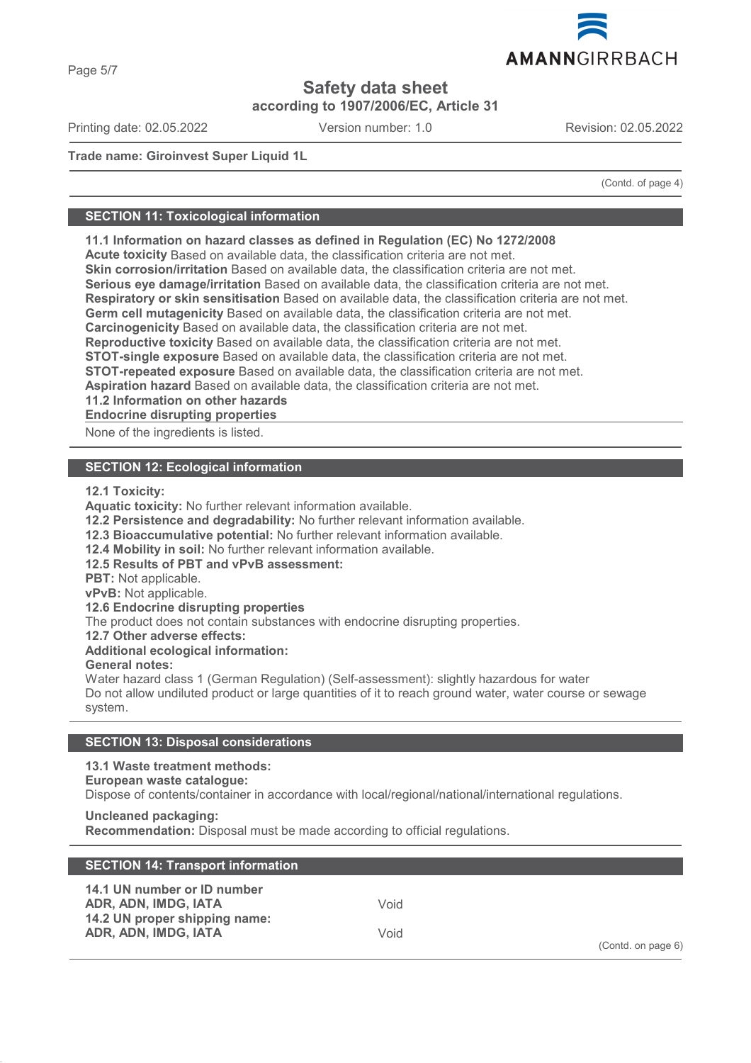**according to 1907/2006/EC, Article 31**

Printing date: 02.05.2022 Version number: 1.0 Revision: 02.05.2022

**Trade name: Giroinvest Super Liquid 1L**

(Contd. of page 4)

#### **SECTION 11: Toxicological information**

**11.1 Information on hazard classes as defined in Regulation (EC) No 1272/2008**

**Acute toxicity** Based on available data, the classification criteria are not met.

**Skin corrosion/irritation** Based on available data, the classification criteria are not met.

**Serious eye damage/irritation** Based on available data, the classification criteria are not met.

**Respiratory or skin sensitisation** Based on available data, the classification criteria are not met.

**Germ cell mutagenicity** Based on available data, the classification criteria are not met.

**Carcinogenicity** Based on available data, the classification criteria are not met.

**Reproductive toxicity** Based on available data, the classification criteria are not met.

**STOT-single exposure** Based on available data, the classification criteria are not met.

**STOT-repeated exposure** Based on available data, the classification criteria are not met.

**Aspiration hazard** Based on available data, the classification criteria are not met.

**11.2 Information on other hazards**

**Endocrine disrupting properties** 

None of the ingredients is listed.

#### **SECTION 12: Ecological information**

**12.1 Toxicity:**

**Aquatic toxicity:** No further relevant information available.

**12.2 Persistence and degradability:** No further relevant information available.

**12.3 Bioaccumulative potential:** No further relevant information available.

**12.4 Mobility in soil:** No further relevant information available.

**12.5 Results of PBT and vPvB assessment:**

**PBT:** Not applicable.

**vPvB:** Not applicable.

**12.6 Endocrine disrupting properties**

The product does not contain substances with endocrine disrupting properties.

**12.7 Other adverse effects:**

**Additional ecological information:**

**General notes:**

Water hazard class 1 (German Regulation) (Self-assessment): slightly hazardous for water Do not allow undiluted product or large quantities of it to reach ground water, water course or sewage system.

#### **SECTION 13: Disposal considerations**

**13.1 Waste treatment methods:**

**European waste catalogue:**

Dispose of contents/container in accordance with local/regional/national/international regulations.

**Uncleaned packaging: Recommendation:** Disposal must be made according to official regulations.

| <b>SECTION 14: Transport information</b>                                                                     |              |                    |
|--------------------------------------------------------------------------------------------------------------|--------------|--------------------|
| 14.1 UN number or ID number<br>ADR, ADN, IMDG, IATA<br>14.2 UN proper shipping name:<br>ADR, ADN, IMDG, IATA | Void<br>Void | (Contd. on page 6) |

# Page 5/7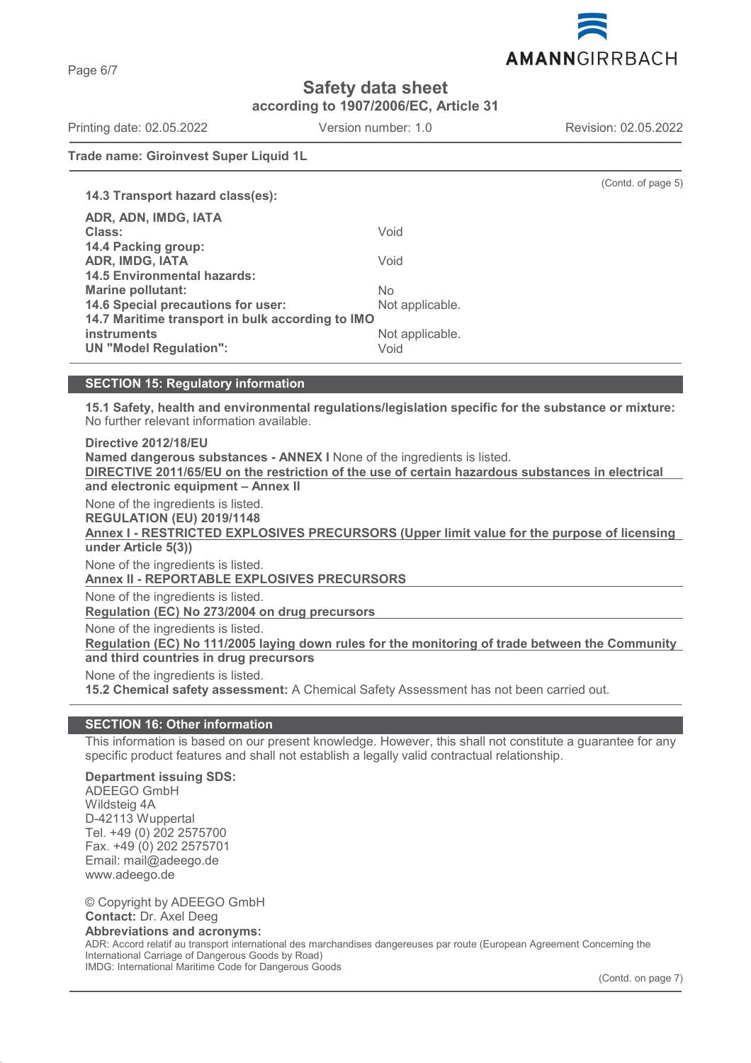

(Contd. of page 5)

**Safety data sheet**

**according to 1907/2006/EC, Article 31**

Printing date: 02.05.2022 Version number: 1.0 Revision: 02.05.2022

**Trade name: Giroinvest Super Liquid 1L**

| 14.3 Transport hazard class(es):                 |                 |
|--------------------------------------------------|-----------------|
| ADR, ADN, IMDG, IATA                             |                 |
| Class:                                           | Void            |
| 14.4 Packing group:                              |                 |
| ADR, IMDG, IATA                                  | Void            |
| <b>14.5 Environmental hazards:</b>               |                 |
| <b>Marine pollutant:</b>                         | No              |
| 14.6 Special precautions for user:               | Not applicable. |
| 14.7 Maritime transport in bulk according to IMO |                 |
| <b>instruments</b>                               | Not applicable. |
| <b>UN "Model Regulation":</b>                    | Void            |

### **SECTION 15: Regulatory information**

**15.1 Safety, health and environmental regulations/legislation specific for the substance or mixture:** No further relevant information available.

**Named dangerous substances - ANNEX I** None of the ingredients is listed. **DIRECTIVE 2011/65/EU on the restriction of the use of certain hazardous substances in electrical and electronic equipment – Annex II** None of the ingredients is listed. **REGULATION (EU) 2019/1148 under Article 5(3))** None of the ingredients is listed. **Annex II - REPORTABLE EXPLOSIVES PRECURSORS**  None of the ingredients is listed. **Regulation (EC) No 273/2004 on drug precursors**  None of the ingredients is listed. Regulation (EC) No 111/2005 laying down rules for the monitoring of trade between the Community **and third countries in drug precursors** None of the ingredients is listed. **15.2 Chemical safety assessment:** A Chemical Safety Assessment has not been carried out.

#### **SECTION 16: Other information**

This information is based on our present knowledge. However, this shall not constitute a guarantee for any specific product features and shall not establish a legally valid contractual relationship.

#### **Department issuing SDS:**

ADEEGO GmbH Wildsteig 4A D-42113 Wuppertal Tel. +49 (0) 202 2575700 Fax. +49 (0) 202 2575701 Email: mail@adeego.de www.adeego.de

© Copyright by ADEEGO GmbH **Contact:** Dr. Axel Deeg **Abbreviations and acronyms:** ADR: Accord relatif au transport international des marchandises dangereuses par route (European Agreement Concerning the International Carriage of Dangerous Goods by Road) IMDG: International Maritime Code for Dangerous Goods

(Contd. on page 7)

Page 6/7

**Directive 2012/18/EU**

Annex I - RESTRICTED EXPLOSIVES PRECURSORS (Upper limit value for the purpose of licensing